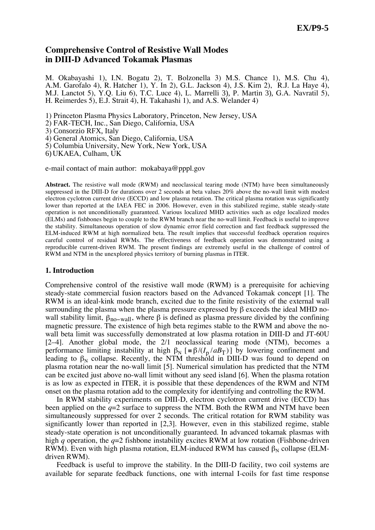# **Comprehensive Control of Resistive Wall Modes in DIII-D Advanced Tokamak Plasmas**

M. Okabayashi 1), I.N. Bogatu 2), T. Bolzonella 3) M.S. Chance 1), M.S. Chu 4), A.M. Garofalo 4), R. Hatcher 1), Y. In 2), G.L. Jackson 4), J.S. Kim 2), R.J. La Haye 4), M.J. Lanctot 5), Y.Q. Liu 6), T.C. Luce 4), L. Marrelli 3), P. Martin 3), G.A. Navratil 5), H. Reimerdes 5), E.J. Strait 4), H. Takahashi 1), and A.S. Welander 4)

1) Princeton Plasma Physics Laboratory, Princeton, New Jersey, USA

2) FAR-TECH, Inc., San Diego, California, USA

3) Consorzio RFX, Italy

4) General Atomics, San Diego, California, USA

5) Columbia University, New York, New York, USA

6) UKAEA, Culham, UK

e-mail contact of main author: mokabaya@pppl.gov

**Abstract.** The resistive wall mode (RWM) and neoclassical tearing mode (NTM) have been simultaneously suppressed in the DIII-D for durations over 2 seconds at beta values 20% above the no-wall limit with modest electron cyclotron current drive (ECCD) and low plasma rotation. The critical plasma rotation was significantly lower than reported at the IAEA FEC in 2006. However, even in this stabilized regime, stable steady-state operation is not unconditionally guaranteed. Various localized MHD activities such as edge localized modes (ELMs) and fishbones begin to couple to the RWM branch near the no-wall limit. Feedback is useful to improve the stability. Simultaneous operation of slow dynamic error field correction and fast feedback suppressed the ELM-induced RWM at high normalized beta. The result implies that successful feedback operation requires careful control of residual RWMs. The effectiveness of feedback operation was demonstrated using a reproducible current-driven RWM. The present findings are extremely useful in the challenge of control of RWM and NTM in the unexplored physics territory of burning plasmas in ITER.

### **1. Introduction**

Comprehensive control of the resistive wall mode (RWM) is a prerequisite for achieving steady-state commercial fusion reactors based on the Advanced Tokamak concept [1]. The RWM is an ideal-kink mode branch, excited due to the finite resistivity of the external wall surrounding the plasma when the plasma pressure expressed by  $\beta$  exceeds the ideal MHD nowall stability limit,  $\beta_{no-wall}$ , where  $\beta$  is defined as plasma pressure divided by the confining magnetic pressure. The existence of high beta regimes stable to the RWM and above the nowall beta limit was successfully demonstrated at low plasma rotation in DIII-D and JT-60U [2–4]. Another global mode, the 2/1 neoclassical tearing mode (NTM), becomes a performance limiting instability at high  $\beta_N$  [ $\equiv \beta/(I_p/aB_T)$ ] by lowering confinement and leading to  $\beta_N$  collapse. Recently, the NTM threshold in DIII-D was found to depend on plasma rotation near the no-wall limit [5]. Numerical simulation has predicted that the NTM can be excited just above no-wall limit without any seed island [6]. When the plasma rotation is as low as expected in ITER, it is possible that these dependences of the RWM and NTM onset on the plasma rotation add to the complexity for identifying and controlling the RWM.

In RWM stability experiments on DIII-D, electron cyclotron current drive (ECCD) has been applied on the  $q=2$  surface to suppress the NTM. Both the RWM and NTM have been simultaneously suppressed for over 2 seconds. The critical rotation for RWM stability was significantly lower than reported in [2,3]. However, even in this stabilized regime, stable steady-state operation is not unconditionally guaranteed. In advanced tokamak plasmas with high *q* operation, the *q*=2 fishbone instability excites RWM at low rotation (Fishbone-driven RWM). Even with high plasma rotation, ELM-induced RWM has caused  $\beta_N$  collapse (ELMdriven RWM).

Feedback is useful to improve the stability. In the DIII-D facility, two coil systems are available for separate feedback functions, one with internal I-coils for fast time response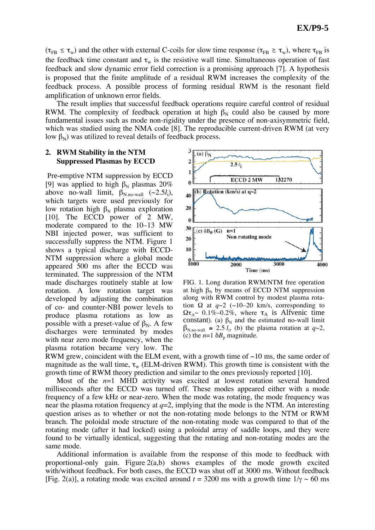$(\tau_{FB} \leq \tau_w)$  and the other with external C-coils for slow time response  $(\tau_{FB} \geq \tau_w)$ , where  $\tau_{FB}$  is the feedback time constant and  $\tau_w$  is the resistive wall time. Simultaneous operation of fast feedback and slow dynamic error field correction is a promising approach [7]. A hypothesis is proposed that the finite amplitude of a residual RWM increases the complexity of the feedback process. A possible process of forming residual RWM is the resonant field amplification of unknown error fields.

The result implies that successful feedback operations require careful control of residual RWM. The complexity of feedback operation at high  $\beta_N$  could also be caused by more fundamental issues such as mode non-rigidity under the presence of non-axisymmetric field, which was studied using the NMA code [8]. The reproducible current-driven RWM (at very low  $\beta_N$ ) was utilized to reveal details of feedback process.

### **2. RWM Stability in the NTM Suppressed Plasmas by ECCD**

Pre-emptive NTM suppression by ECCD [9] was applied to high  $\beta_N$  plasmas 20% above no-wall limit,  $\beta_{N,\text{no-wall}}$  (~2.5*l*<sub>i</sub>), which targets were used previously for low rotation high  $\beta_N$  plasma exploration [10]. The ECCD power of 2 MW, moderate compared to the 10–13 MW NBI injected power, was sufficient to successfully suppress the NTM. Figure 1 shows a typical discharge with ECCD-NTM suppression where a global mode appeared 500 ms after the ECCD was terminated. The suppression of the NTM made discharges routinely stable at low rotation. A low rotation target was developed by adjusting the combination of co- and counter-NBI power levels to produce plasma rotations as low as possible with a preset-value of  $\beta_N$ . A few discharges were terminated by modes with near zero mode frequency, when the plasma rotation became very low. The



FIG. 1. Long duration RWM/NTM free operation at high  $\beta_N$  by means of ECCD NTM suppression along with RWM control by modest plasma rotation  $\Omega$  at  $q\sim 2$  (~10–20 km/s, corresponding to  $\Omega \tau_{A}$  0.1%–0.2%, where  $\tau_A$  is Alfvenic time constant). (a)  $\beta_N$  and the estimated no-wall limit  $\beta_{\text{N.no-wall}} \approx 2.5 l_i$ , (b) the plasma rotation at  $q \sim 2$ , (c) the  $n=1$   $\delta B_n$  magnitude.

RWM grew, coincident with the ELM event, with a growth time of  $\sim$ 10 ms, the same order of magnitude as the wall time,  $\tau_w$  (ELM-driven RWM). This growth time is consistent with the growth time of RWM theory prediction and similar to the ones previously reported [10].

Most of the *n*=1 MHD activity was excited at lowest rotation several hundred milliseconds after the ECCD was turned off. These modes appeared either with a mode frequency of a few kHz or near-zero. When the mode was rotating, the mode frequency was near the plasma rotation frequency at  $q=2$ , implying that the mode is the NTM. An interesting question arises as to whether or not the non-rotating mode belongs to the NTM or RWM branch. The poloidal mode structure of the non-rotating mode was compared to that of the rotating mode (after it had locked) using a poloidal array of saddle loops, and they were found to be virtually identical, suggesting that the rotating and non-rotating modes are the same mode.

Additional information is available from the response of this mode to feedback with proportional-only gain. Figure  $2(a,b)$  shows examples of the mode growth excited with/without feedback. For both cases, the ECCD was shut off at 3000 ms. Without feedback [Fig. 2(a)], a rotating mode was excited around  $t = 3200$  ms with a growth time  $1/\gamma \sim 60$  ms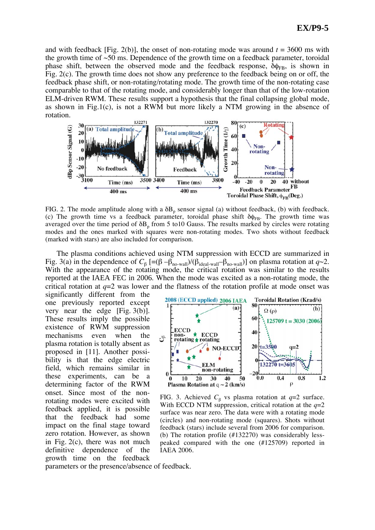and with feedback [Fig. 2(b)], the onset of non-rotating mode was around  $t = 3600$  ms with the growth time of  $\sim$ 50 ms. Dependence of the growth time on a feedback parameter, toroidal phase shift, between the observed mode and the feedback response,  $\delta \phi_{FB}$ , is shown in Fig. 2(c). The growth time does not show any preference to the feedback being on or off, the feedback phase shift, or non-rotating/rotating mode. The growth time of the non-rotating case comparable to that of the rotating mode, and considerably longer than that of the low-rotation ELM-driven RWM. These results support a hypothesis that the final collapsing global mode, as shown in Fig.1(c), is not a RWM but more likely a NTM growing in the absence of rotation.



FIG. 2. The mode amplitude along with a  $\delta B_p$  sensor signal (a) without feedback, (b) with feedback. (c) The growth time vs a feedback parameter, toroidal phase shift  $\delta \phi_{FB}$ . The growth time was averaged over the time period of  $\delta B_p$  from 5 to10 Gauss. The results marked by circles were rotating modes and the ones marked with squares were non-rotating modes. Two shots without feedback (marked with stars) are also included for comparison.

The plasma conditions achieved using NTM suppression with ECCD are summarized in Fig. 3(a) in the dependence of  $C_\beta$  [=( $\beta$  – $\beta_{\text{no-wall}}$ )/( $\beta_{\text{ideal-wall}}$ – $\beta_{\text{no-wall}}$ )] on plasma rotation at  $q\sim$ 2. With the appearance of the rotating mode, the critical rotation was similar to the results reported at the IAEA FEC in 2006. When the mode was excited as a non-rotating mode, the critical rotation at  $q=2$  was lower and the flatness of the rotation profile at mode onset was

significantly different from the one previously reported except very near the edge [Fig. 3(b)]. These results imply the possible existence of RWM suppression mechanisms even when the plasma rotation is totally absent as proposed in [11]. Another possibility is that the edge electric field, which remains similar in these experiments, can be a determining factor of the RWM onset. Since most of the nonrotating modes were excited with feedback applied, it is possible that the feedback had some impact on the final stage toward zero rotation. However, as shown in Fig. 2(c), there was not much definitive dependence of the growth time on the feedback



FIG. 3. Achieved  $C_{\beta}$  vs plasma rotation at  $q=2$  surface. With ECCD NTM suppression, critical rotation at the *q*=2 surface was near zero. The data were with a rotating mode (circles) and non-rotating mode (squares). Shots without feedback (stars) include several from 2006 for comparison. (b) The rotation profile (#132270) was considerably lesspeaked compared with the one (#125709) reported in IAEA 2006.

parameters or the presence/absence of feedback.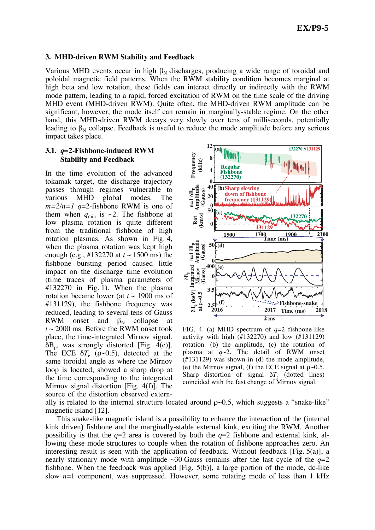### **3. MHD-driven RWM Stability and Feedback**

Various MHD events occur in high  $\beta_N$  discharges, producing a wide range of toroidal and poloidal magnetic field patterns. When the RWM stability condition becomes marginal at high beta and low rotation, these fields can interact directly or indirectly with the RWM mode pattern, leading to a rapid, forced excitation of RWM on the time scale of the driving MHD event (MHD-driven RWM). Quite often, the MHD-driven RWM amplitude can be significant, however, the mode itself can remain in marginally-stable regime. On the other hand, this MHD-driven RWM decays very slowly over tens of milliseconds, potentially leading to  $\beta_N$  collapse. Feedback is useful to reduce the mode amplitude before any serious impact takes place.

## **3.1.** *q***=2-Fishbone-induced RWM Stability and Feedback**

In the time evolution of the advanced tokamak target, the discharge trajectory passes through regimes vulnerable to various MHD global modes. The  $m=2/n=1$  *q*=2-fishbone RWM is one of them when  $q_{\text{min}}$  is ~2. The fishbone at low plasma rotation is quite different from the traditional fishbone of high rotation plasmas. As shown in Fig. 4, when the plasma rotation was kept high enough (e.g., #132270 at *t* ~ 1500 ms) the fishbone bursting period caused little impact on the discharge time evolution (time traces of plasma parameters of #132270 in Fig. 1). When the plasma rotation became lower (at  $t \sim 1900$  ms of #131129), the fishbone frequency was reduced, leading to several tens of Gauss RWM onset and  $\beta_N$  collapse at  $t \sim 2000$  ms. Before the RWM onset took place, the time-integrated Mirnov signal,  $\delta B_p$ , was strongly distorted [Fig. 4(e)]. The ECE  $\delta T_e$  ( $\rho \sim 0.5$ ), detected at the same toroidal angle as where the Mirnov loop is located, showed a sharp drop at the time corresponding to the integrated Mirnov signal distortion [Fig. 4(f)]. The source of the distortion observed extern-



FIG. 4. (a) MHD spectrum of *q*=2 fishbone-like activity with high  $(\text{\#132270})$  and low  $(\text{\#131129})$ rotation. (b) the amplitude, (c) the rotation of plasma at  $q \sim 2$ . The detail of RWM onset (#131129) was shown in (d) the mode amplitude, (e) the Mirnov signal, (f) the ECE signal at  $\rho \sim 0.5$ . Sharp distortion of signal  $\delta T_e$  (dotted lines)

ally is related to the internal structure located around  $\rho \sim 0.5$ , which suggests a "snake-like" magnetic island [12].

This snake-like magnetic island is a possibility to enhance the interaction of the (internal kink driven) fishbone and the marginally-stable external kink, exciting the RWM. Another possibility is that the  $q=2$  area is covered by both the  $q=2$  fishbone and external kink, allowing these mode structures to couple when the rotation of fishbone approaches zero. An interesting result is seen with the application of feedback. Without feedback [Fig. 5(a)], a nearly stationary mode with amplitude  $\sim$ 30 Gauss remains after the last cycle of the  $q=2$ fishbone. When the feedback was applied [Fig. 5(b)], a large portion of the mode, dc-like slow *n*=1 component, was suppressed. However, some rotating mode of less than 1 kHz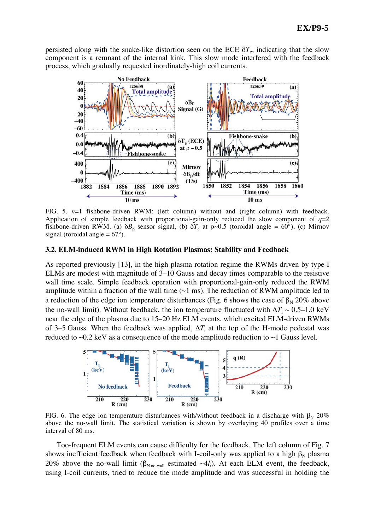persisted along with the snake-like distortion seen on the ECE  $\delta T_e$ , indicating that the slow component is a remnant of the internal kink. This slow mode interfered with the feedback process, which gradually requested inordinately-high coil currents.



FIG. 5.  $n=1$  fishbone-driven RWM: (left column) without and (right column) with feedback. Application of simple feedback with proportional-gain-only reduced the slow component of  $q=2$ fishbone-driven RWM. (a)  $\delta B_p$  sensor signal, (b)  $\delta T_e$  at  $\rho \sim 0.5$  (toroidal angle = 60°), (c) Mirnov signal (toroidal angle  $= 67^{\circ}$ ).

#### **3.2. ELM-induced RWM in High Rotation Plasmas: Stability and Feedback**

As reported previously [13], in the high plasma rotation regime the RWMs driven by type-I ELMs are modest with magnitude of 3–10 Gauss and decay times comparable to the resistive wall time scale. Simple feedback operation with proportional-gain-only reduced the RWM amplitude within a fraction of the wall time  $(\sim 1 \text{ ms})$ . The reduction of RWM amplitude led to a reduction of the edge ion temperature disturbances (Fig. 6 shows the case of  $\beta_N$  20% above the no-wall limit). Without feedback, the ion temperature fluctuated with  $\Delta T_i \sim 0.5{\text -}1.0 \text{ keV}$ near the edge of the plasma due to 15–20 Hz ELM events, which excited ELM-driven RWMs of 3–5 Gauss. When the feedback was applied,  $\Delta T_i$  at the top of the H-mode pedestal was reduced to  $\sim 0.2$  keV as a consequence of the mode amplitude reduction to  $\sim 1$  Gauss level.



FIG. 6. The edge ion temperature disturbances with/without feedback in a discharge with  $\beta_N$  20% above the no-wall limit. The statistical variation is shown by overlaying 40 profiles over a time interval of 80 ms.

Too-frequent ELM events can cause difficulty for the feedback. The left column of Fig. 7 shows inefficient feedback when feedback with I-coil-only was applied to a high  $\beta_N$  plasma 20% above the no-wall limit ( $\beta_{N,no-wall}$  estimated  $\sim 4l_i$ ). At each ELM event, the feedback, using I-coil currents, tried to reduce the mode amplitude and was successful in holding the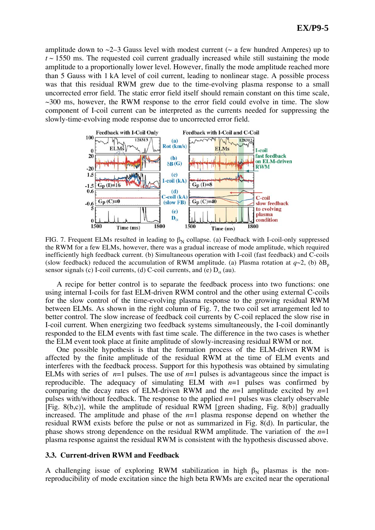amplitude down to  $\sim$ 2–3 Gauss level with modest current ( $\sim$  a few hundred Amperes) up to  $t \sim 1550$  ms. The requested coil current gradually increased while still sustaining the mode amplitude to a proportionally lower level. However, finally the mode amplitude reached more than 5 Gauss with 1 kA level of coil current, leading to nonlinear stage. A possible process was that this residual RWM grew due to the time-evolving plasma response to a small uncorrected error field. The static error field itself should remain constant on this time scale,  $\sim$ 300 ms, however, the RWM response to the error field could evolve in time. The slow component of I-coil current can be interpreted as the currents needed for suppressing the slowly-time-evolving mode response due to uncorrected error field.



FIG. 7. Frequent ELMs resulted in leading to  $\beta_N$  collapse. (a) Feedback with I-coil-only suppressed the RWM for a few ELMs, however, there was a gradual increase of mode amplitude, which required inefficiently high feedback current. (b) Simultaneous operation with I-coil (fast feedback) and C-coils (slow feedback) reduced the accumulation of RWM amplitude. (a) Plasma rotation at  $q\sim 2$ , (b)  $\delta B_p$ sensor signals (c) I-coil currents, (d) C-coil currents, and (e)  $D_{\alpha}$  (au).

A recipe for better control is to separate the feedback process into two functions: one using internal I-coils for fast ELM-driven RWM control and the other using external C-coils for the slow control of the time-evolving plasma response to the growing residual RWM between ELMs. As shown in the right column of Fig. 7, the two coil set arrangement led to better control. The slow increase of feedback coil currents by C-coil replaced the slow rise in I-coil current. When energizing two feedback systems simultaneously, the I-coil dominantly responded to the ELM events with fast time scale. The difference in the two cases is whether the ELM event took place at finite amplitude of slowly-increasing residual RWM or not.

One possible hypothesis is that the formation process of the ELM-driven RWM is affected by the finite amplitude of the residual RWM at the time of ELM events and interferes with the feedback process. Support for this hypothesis was obtained by simulating ELMs with series of  $n=1$  pulses. The use of  $n=1$  pulses is advantageous since the impact is reproducible. The adequacy of simulating ELM with *n*=1 pulses was confirmed by comparing the decay rates of ELM-driven RWM and the  $n=1$  amplitude excited by  $n=1$ pulses with/without feedback. The response to the applied  $n=1$  pulses was clearly observable [Fig. 8(b,c)], while the amplitude of residual RWM [green shading, Fig. 8(b)] gradually increased. The amplitude and phase of the  $n=1$  plasma response depend on whether the residual RWM exists before the pulse or not as summarized in Fig. 8(d). In particular, the phase shows strong dependence on the residual RWM amplitude. The variation of the *n*=1 plasma response against the residual RWM is consistent with the hypothesis discussed above.

#### **3.3. Current-driven RWM and Feedback**

A challenging issue of exploring RWM stabilization in high  $\beta_N$  plasmas is the nonreproducibility of mode excitation since the high beta RWMs are excited near the operational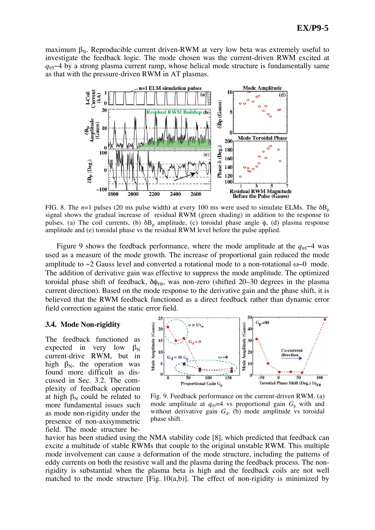maximum  $\beta_N$ . Reproducible current driven-RWM at very low beta was extremely useful to investigate the feedback logic. The mode chosen was the current-driven RWM excited at  $q_{95}$ ~4 by a strong plasma current ramp, whose helical mode structure is fundamentally same as that with the pressure-driven RWM in AT plasmas.



FIG. 8. The  $n=1$  pulses (20 ms pulse width) at every 100 ms were used to simulate ELMs. The  $\delta B_p$ signal shows the gradual increase of residual RWM (green shading) in addition to the response to pulses. (a) The coil currents, (b)  $\delta B_p$  amplitude, (c) toroidal phase angle  $\phi$ , (d) plasma response amplitude and (e) toroidal phase vs the residual RWM level before the pulse applied.

Figure 9 shows the feedback performance, where the mode amplitude at the  $q_{95}$ ~4 was used as a measure of the mode growth. The increase of proportional gain reduced the mode amplitude to  $\sim$ 2 Gauss level and converted a rotational mode to a non-rotational  $\omega$ -0 mode. The addition of derivative gain was effective to suppress the mode amplitude. The optimized toroidal phase shift of feedback,  $\delta \phi_{FB}$ , was non-zero (shifted 20–30 degrees in the plasma current direction). Based on the mode response to the derivative gain and the phase shift, it is believed that the RWM feedback functioned as a direct feedback rather than dynamic error field correction against the static error field.

#### **3.4. Mode Non-rigidity**

The feedback functioned as expected in very low  $\beta_N$ current-drive RWM, but in high  $\beta_N$ , the operation was found more difficult as discussed in Sec. 3.2. The complexity of feedback operation at high  $\beta_N$  could be related to more fundamental issues such as mode non-rigidity under the presence of non-axisymmetric field. The mode structure be-



Fig. 9. Feedback performance on the current-driven RWM. (a) mode amplitude at  $q_{95}=4$  vs proportional gain  $G_p$  with and without derivative gain  $G_d$ , (b) mode amplitude vs toroidal phase shift.

havior has been studied using the NMA stability code [8], which predicted that feedback can excite a multitude of stable RWMs that couple to the original unstable RWM. This multiple mode involvement can cause a deformation of the mode structure, including the patterns of eddy currents on both the resistive wall and the plasma during the feedback process. The nonrigidity is substantial when the plasma beta is high and the feedback coils are not well matched to the mode structure  $[Fig. 10(a,b)]$ . The effect of non-rigidity is minimized by